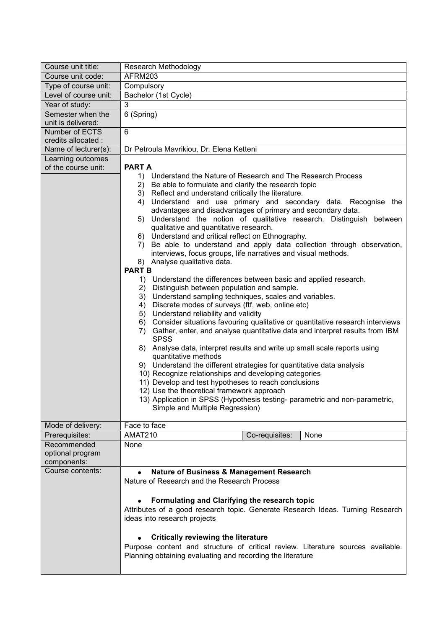| Course unit title:              | Research Methodology                                                                                                                                                                                                                                                                                                                                                                                                                                                                                                                                                                                                                                                                                                                                                                                                                                                                                                                                                                                                                                                                                                                                                                                                                                                                                                                                                                                                                                                                                                                                                                                                                                                 |
|---------------------------------|----------------------------------------------------------------------------------------------------------------------------------------------------------------------------------------------------------------------------------------------------------------------------------------------------------------------------------------------------------------------------------------------------------------------------------------------------------------------------------------------------------------------------------------------------------------------------------------------------------------------------------------------------------------------------------------------------------------------------------------------------------------------------------------------------------------------------------------------------------------------------------------------------------------------------------------------------------------------------------------------------------------------------------------------------------------------------------------------------------------------------------------------------------------------------------------------------------------------------------------------------------------------------------------------------------------------------------------------------------------------------------------------------------------------------------------------------------------------------------------------------------------------------------------------------------------------------------------------------------------------------------------------------------------------|
| Course unit code:               | AFRM203                                                                                                                                                                                                                                                                                                                                                                                                                                                                                                                                                                                                                                                                                                                                                                                                                                                                                                                                                                                                                                                                                                                                                                                                                                                                                                                                                                                                                                                                                                                                                                                                                                                              |
| Type of course unit:            | Compulsory                                                                                                                                                                                                                                                                                                                                                                                                                                                                                                                                                                                                                                                                                                                                                                                                                                                                                                                                                                                                                                                                                                                                                                                                                                                                                                                                                                                                                                                                                                                                                                                                                                                           |
| Level of course unit:           | Bachelor (1st Cycle)                                                                                                                                                                                                                                                                                                                                                                                                                                                                                                                                                                                                                                                                                                                                                                                                                                                                                                                                                                                                                                                                                                                                                                                                                                                                                                                                                                                                                                                                                                                                                                                                                                                 |
| Year of study:                  | 3                                                                                                                                                                                                                                                                                                                                                                                                                                                                                                                                                                                                                                                                                                                                                                                                                                                                                                                                                                                                                                                                                                                                                                                                                                                                                                                                                                                                                                                                                                                                                                                                                                                                    |
| Semester when the               | 6 (Spring)                                                                                                                                                                                                                                                                                                                                                                                                                                                                                                                                                                                                                                                                                                                                                                                                                                                                                                                                                                                                                                                                                                                                                                                                                                                                                                                                                                                                                                                                                                                                                                                                                                                           |
| unit is delivered:              |                                                                                                                                                                                                                                                                                                                                                                                                                                                                                                                                                                                                                                                                                                                                                                                                                                                                                                                                                                                                                                                                                                                                                                                                                                                                                                                                                                                                                                                                                                                                                                                                                                                                      |
| Number of ECTS                  | 6                                                                                                                                                                                                                                                                                                                                                                                                                                                                                                                                                                                                                                                                                                                                                                                                                                                                                                                                                                                                                                                                                                                                                                                                                                                                                                                                                                                                                                                                                                                                                                                                                                                                    |
| credits allocated :             |                                                                                                                                                                                                                                                                                                                                                                                                                                                                                                                                                                                                                                                                                                                                                                                                                                                                                                                                                                                                                                                                                                                                                                                                                                                                                                                                                                                                                                                                                                                                                                                                                                                                      |
| Name of lecturer(s):            | Dr Petroula Mavrikiou, Dr. Elena Ketteni                                                                                                                                                                                                                                                                                                                                                                                                                                                                                                                                                                                                                                                                                                                                                                                                                                                                                                                                                                                                                                                                                                                                                                                                                                                                                                                                                                                                                                                                                                                                                                                                                             |
| Learning outcomes               |                                                                                                                                                                                                                                                                                                                                                                                                                                                                                                                                                                                                                                                                                                                                                                                                                                                                                                                                                                                                                                                                                                                                                                                                                                                                                                                                                                                                                                                                                                                                                                                                                                                                      |
| of the course unit:             | <b>PART A</b><br>1) Understand the Nature of Research and The Research Process<br>Be able to formulate and clarify the research topic<br>2)<br>3) Reflect and understand critically the literature.<br>Understand and use primary and secondary data. Recognise the<br>4)<br>advantages and disadvantages of primary and secondary data.<br>Understand the notion of qualitative research. Distinguish between<br>5)<br>qualitative and quantitative research.<br>6) Understand and critical reflect on Ethnography.<br>Be able to understand and apply data collection through observation,<br>7)<br>interviews, focus groups, life narratives and visual methods.<br>8) Analyse qualitative data.<br><b>PART B</b><br>1) Understand the differences between basic and applied research.<br>2) Distinguish between population and sample.<br>3) Understand sampling techniques, scales and variables.<br>Discrete modes of surveys (ftf, web, online etc)<br>4)<br>5) Understand reliability and validity<br>Consider situations favouring qualitative or quantitative research interviews<br>6)<br>Gather, enter, and analyse quantitative data and interpret results from IBM<br>7)<br><b>SPSS</b><br>8) Analyse data, interpret results and write up small scale reports using<br>quantitative methods<br>9) Understand the different strategies for quantitative data analysis<br>10) Recognize relationships and developing categories<br>11) Develop and test hypotheses to reach conclusions<br>12) Use the theoretical framework approach<br>13) Application in SPSS (Hypothesis testing- parametric and non-parametric,<br>Simple and Multiple Regression) |
| Mode of delivery:               | Face to face                                                                                                                                                                                                                                                                                                                                                                                                                                                                                                                                                                                                                                                                                                                                                                                                                                                                                                                                                                                                                                                                                                                                                                                                                                                                                                                                                                                                                                                                                                                                                                                                                                                         |
| Prerequisites:                  | AMAT210<br>Co-requisites:<br>None                                                                                                                                                                                                                                                                                                                                                                                                                                                                                                                                                                                                                                                                                                                                                                                                                                                                                                                                                                                                                                                                                                                                                                                                                                                                                                                                                                                                                                                                                                                                                                                                                                    |
| Recommended                     | None                                                                                                                                                                                                                                                                                                                                                                                                                                                                                                                                                                                                                                                                                                                                                                                                                                                                                                                                                                                                                                                                                                                                                                                                                                                                                                                                                                                                                                                                                                                                                                                                                                                                 |
| optional program                |                                                                                                                                                                                                                                                                                                                                                                                                                                                                                                                                                                                                                                                                                                                                                                                                                                                                                                                                                                                                                                                                                                                                                                                                                                                                                                                                                                                                                                                                                                                                                                                                                                                                      |
| components:<br>Course contents: |                                                                                                                                                                                                                                                                                                                                                                                                                                                                                                                                                                                                                                                                                                                                                                                                                                                                                                                                                                                                                                                                                                                                                                                                                                                                                                                                                                                                                                                                                                                                                                                                                                                                      |
|                                 | <b>Nature of Business &amp; Management Research</b><br>Nature of Research and the Research Process<br>Formulating and Clarifying the research topic<br>Attributes of a good research topic. Generate Research Ideas. Turning Research                                                                                                                                                                                                                                                                                                                                                                                                                                                                                                                                                                                                                                                                                                                                                                                                                                                                                                                                                                                                                                                                                                                                                                                                                                                                                                                                                                                                                                |
|                                 | ideas into research projects<br><b>Critically reviewing the literature</b><br>Purpose content and structure of critical review. Literature sources available.<br>Planning obtaining evaluating and recording the literature                                                                                                                                                                                                                                                                                                                                                                                                                                                                                                                                                                                                                                                                                                                                                                                                                                                                                                                                                                                                                                                                                                                                                                                                                                                                                                                                                                                                                                          |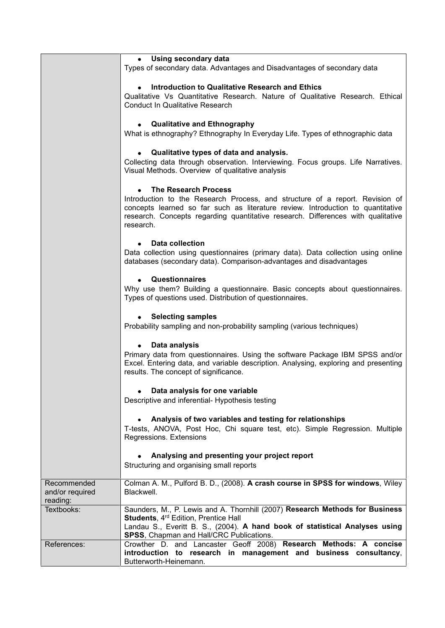|                                            | • Using secondary data                                                                                                                                                                                                                                           |
|--------------------------------------------|------------------------------------------------------------------------------------------------------------------------------------------------------------------------------------------------------------------------------------------------------------------|
|                                            | Types of secondary data. Advantages and Disadvantages of secondary data                                                                                                                                                                                          |
|                                            | Introduction to Qualitative Research and Ethics                                                                                                                                                                                                                  |
|                                            | Qualitative Vs Quantitative Research. Nature of Qualitative Research. Ethical                                                                                                                                                                                    |
|                                            | <b>Conduct In Qualitative Research</b>                                                                                                                                                                                                                           |
|                                            | <b>Qualitative and Ethnography</b>                                                                                                                                                                                                                               |
|                                            | What is ethnography? Ethnography In Everyday Life. Types of ethnographic data                                                                                                                                                                                    |
|                                            | Qualitative types of data and analysis.<br>$\bullet$<br>Collecting data through observation. Interviewing. Focus groups. Life Narratives.<br>Visual Methods. Overview of qualitative analysis                                                                    |
|                                            | <b>The Research Process</b>                                                                                                                                                                                                                                      |
|                                            | Introduction to the Research Process, and structure of a report. Revision of<br>concepts learned so far such as literature review. Introduction to quantitative<br>research. Concepts regarding quantitative research. Differences with qualitative<br>research. |
|                                            | <b>Data collection</b>                                                                                                                                                                                                                                           |
|                                            | Data collection using questionnaires (primary data). Data collection using online<br>databases (secondary data). Comparison-advantages and disadvantages                                                                                                         |
|                                            | <b>Questionnaires</b><br>Why use them? Building a questionnaire. Basic concepts about questionnaires.<br>Types of questions used. Distribution of questionnaires.                                                                                                |
|                                            | <b>Selecting samples</b><br>Probability sampling and non-probability sampling (various techniques)                                                                                                                                                               |
|                                            | Data analysis                                                                                                                                                                                                                                                    |
|                                            | Primary data from questionnaires. Using the software Package IBM SPSS and/or<br>Excel. Entering data, and variable description. Analysing, exploring and presenting<br>results. The concept of significance.                                                     |
|                                            |                                                                                                                                                                                                                                                                  |
|                                            | Data analysis for one variable<br>Descriptive and inferential- Hypothesis testing                                                                                                                                                                                |
|                                            | Analysis of two variables and testing for relationships<br>T-tests, ANOVA, Post Hoc, Chi square test, etc). Simple Regression. Multiple<br>Regressions. Extensions                                                                                               |
|                                            | Analysing and presenting your project report<br>Structuring and organising small reports                                                                                                                                                                         |
| Recommended<br>and/or required<br>reading: | Colman A. M., Pulford B. D., (2008). A crash course in SPSS for windows, Wiley<br>Blackwell.                                                                                                                                                                     |
| Textbooks:                                 | Saunders, M., P. Lewis and A. Thornhill (2007) Research Methods for Business<br>Students, 4rd Edition, Prentice Hall<br>Landau S., Everitt B. S., (2004). A hand book of statistical Analyses using<br>SPSS, Chapman and Hall/CRC Publications.                  |
| References:                                | Crowther D. and Lancaster Geoff 2008) Research Methods: A concise                                                                                                                                                                                                |
|                                            | introduction to research in management and business consultancy,<br>Butterworth-Heinemann.                                                                                                                                                                       |